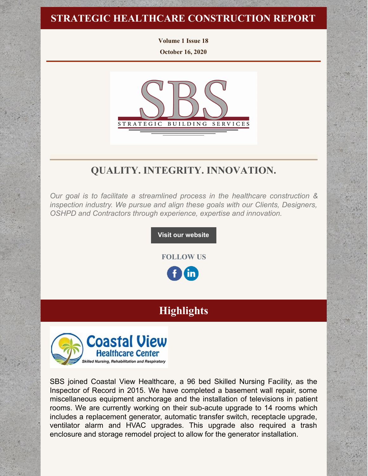## **STRATEGIC HEALTHCARE CONSTRUCTION REPORT**

**Volume 1 Issue 18**

**October 16, 2020**



## **QUALITY. INTEGRITY. INNOVATION.**

*Our goal is to facilitate a streamlined process in the healthcare construction & inspection industry. We pursue and align these goals with our Clients, Designers, OSHPD and Contractors through experience, expertise and innovation.*

**Visit our [website](http://www.strategic-building.com/)**

**FOLLOW US**

<u>in</u>

# **Highlights**



SBS joined Coastal View Healthcare, a 96 bed Skilled Nursing Facility, as the Inspector of Record in 2015. We have completed a basement wall repair, some miscellaneous equipment anchorage and the installation of televisions in patient rooms. We are currently working on their sub-acute upgrade to 14 rooms which includes a replacement generator, automatic transfer switch, receptacle upgrade, ventilator alarm and HVAC upgrades. This upgrade also required a trash enclosure and storage remodel project to allow for the generator installation.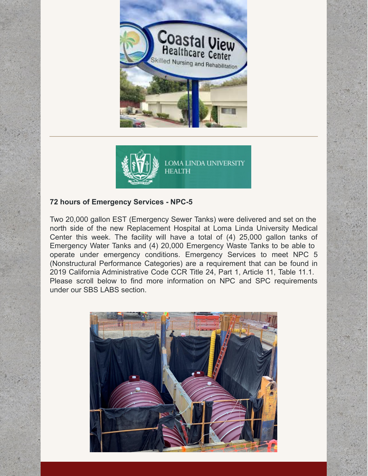



### **72 hours of Emergency Services - NPC-5**

Two 20,000 gallon EST (Emergency Sewer Tanks) were delivered and set on the north side of the new Replacement Hospital at Loma Linda University Medical Center this week. The facility will have a total of (4) 25,000 gallon tanks of Emergency Water Tanks and (4) 20,000 Emergency Waste Tanks to be able to operate under emergency conditions. Emergency Services to meet NPC 5 (Nonstructural Performance Categories) are a requirement that can be found in 2019 California Administrative Code CCR Title 24, Part 1, Article 11, Table 11.1. Please scroll below to find more information on NPC and SPC requirements under our SBS LABS section.

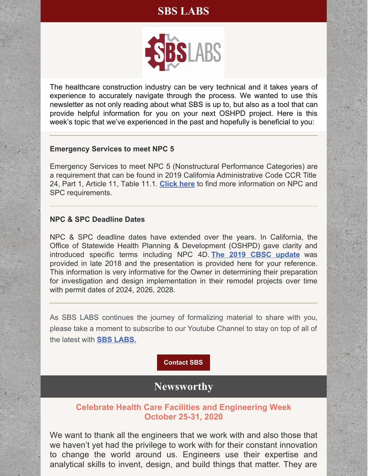## **SBS LABS**



The healthcare construction industry can be very technical and it takes years of experience to accurately navigate through the process. We wanted to use this newsletter as not only reading about what SBS is up to, but also as a tool that can provide helpful information for you on your next OSHPD project. Here is this week's topic that we've experienced in the past and hopefully is beneficial to you:

#### **Emergency Services to meet NPC 5**

Emergency Services to meet NPC 5 (Nonstructural Performance Categories) are a requirement that can be found in 2019 California Administrative Code CCR Title 24, Part 1, Article 11, Table 11.1. **[Click](https://files.constantcontact.com/7250dab0801/2368a62c-3715-480b-afee-fb1e0da3e4a6.pdf) here** to find more information on NPC and SPC requirements.

#### **NPC & SPC Deadline Dates**

NPC & SPC deadline dates have extended over the years. In California, the Office of Statewide Health Planning & Development (OSHPD) gave clarity and introduced specific terms including NPC 4D. **The 2019 [CBSC](https://files.constantcontact.com/7250dab0801/dcb3819f-fb8d-4bf0-bc43-c4ebc1891378.pdf) [update](https://files.constantcontact.com/7250dab0801/dcb3819f-fb8d-4bf0-bc43-c4ebc1891378.pdf)** was provided in late 2018 and the presentation is provided here for your reference. This information is very informative for the Owner in determining their preparation for investigation and design implementation in their remodel projects over time with permit dates of 2024, 2026, 2028.

As SBS LABS continues the journey of formalizing material to share with you, please take a moment to subscribe to our Youtube Channel to stay on top of all of the latest with **SBS [LABS.](https://www.youtube.com/channel/UCfR7qiqf9X9tzNf1jD-an_Q)**

**[Contact](http://www.strategic-building.com/contacts) SBS**

## **Newsworthy**

#### **Celebrate Health Care Facilities and Engineering Week October 25-31, 2020**

We want to thank all the engineers that we work with and also those that we haven't yet had the privilege to work with for their constant innovation to change the world around us. Engineers use their expertise and analytical skills to invent, design, and build things that matter. They are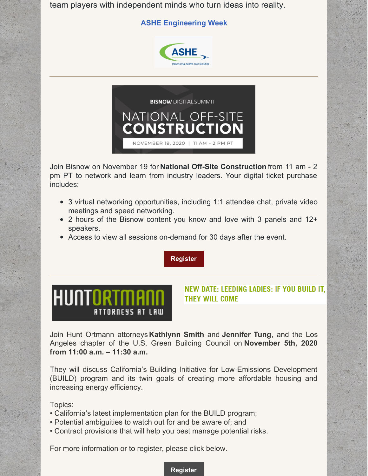team players with independent minds who turn ideas into reality.

#### **ASHE [Engineering](https://www.ashe.org/engineeringweek) Week**





Join Bisnow on November 19 for **National Off-Site Construction** from 11 am - 2 pm PT to network and learn from industry leaders. Your digital ticket purchase includes:

- 3 virtual networking opportunities, including 1:1 attendee chat, private video meetings and speed networking.
- 2 hours of the Bisnow content you know and love with 3 panels and 12+ speakers.
- Access to view all sessions on-demand for 30 days after the event.

**[Register](https://www.accelevents.com/e/6428NationalOffsiteConstruction?aff=email&mkt_tok=eyJpIjoiTlRZd016Z3pOVFUxT0RGaSIsInQiOiJHNGhuVW1qZUFmalQ1SW85QWxMZXArSmtBVlhIRTZ2SVhGbDBXVGk3aXhqK2dNVHVWS1VGYldTeVNhNVQybkpaTXVpbXhWOE9xN1JWOTUwZ0YyZnpya3pKbmI5ek9uME1UNStheSs0YXdUbWtSb2R2ZFplTXZqcXB5eTZhVkpnVSJ9)**

# **HUNTORTMA** ATTORNEYS AT LAW

#### NEW DATE: LEEDING LADIES: IF YOU BUILD IT, **THEY WILL COME**

Join Hunt Ortmann attorneys **[Kathlynn](https://huntortmann.com/kathlynn-e-smith/) Smith** and **[Jennifer](https://huntortmann.com/jennifer-tung/) Tung**, and the Los Angeles chapter of the U.S. Green Building Council on **November 5th, 2020 from 11:00 a.m. – 11:30 a.m.**

They will discuss California's Building Initiative for Low-Emissions Development (BUILD) program and its twin goals of creating more affordable housing and increasing energy efficiency.

Topics:

- California's latest implementation plan for the BUILD program;
- Potential ambiguities to watch out for and be aware of; and
- Contract provisions that will help you best manage potential risks.

For more information or to register, please click below.

#### **[Register](https://usgbc-la.org/event-details/3401/)**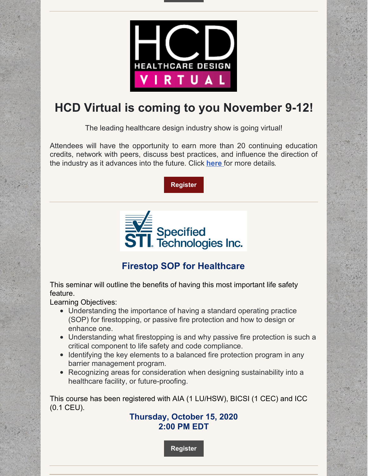

# **HCD Virtual is coming to you November 9-12!**

The leading healthcare design industry show is going virtual!

Attendees will have the opportunity to earn more than 20 continuing education credits, network with peers, discuss best practices, and influence the direction of the industry as it advances into the future. Click **[here](https://hcdvirtual.com/)** for more details.

**[Register](https://registration.experientevent.com/ShowHCD201/?flow=virtual)**



## **Firestop SOP for Healthcare**

This seminar will outline the benefits of having this most important life safety feature.

Learning Objectives:

- Understanding the importance of having a standard operating practice (SOP) for firestopping, or passive fire protection and how to design or enhance one.
- Understanding what firestopping is and why passive fire protection is such a critical component to life safety and code compliance.
- Identifying the key elements to a balanced fire protection program in any barrier management program.
- Recognizing areas for consideration when designing sustainability into a healthcare facility, or future-proofing.

This course has been registered with AIA (1 LU/HSW), BICSI (1 CEC) and ICC (0.1 CEU).

### **Thursday, October 15, 2020 2:00 PM EDT**

**[Register](https://stifirestop.zoom.us/webinar/register/WN_kKvTDHhkTzymsfvxoftz4Q?mc_cid=4ef16a1ef5&mc_eid=e432ccbfe6)**